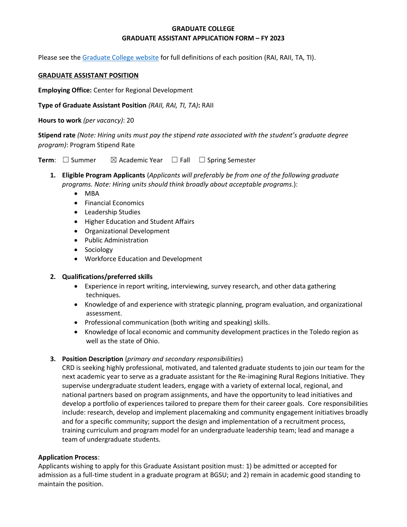# **GRADUATE COLLEGE GRADUATE ASSISTANT APPLICATION FORM – FY 2023**

Please see the [Graduate College website](https://www.bgsu.edu/content/dam/BGSU/graduate-college/GADocs/Grad-Col-GA-Position-Descriptions-21-22.pdf) for full definitions of each position (RAI, RAII, TA, TI).

### **GRADUATE ASSISTANT POSITION**

**Employing Office:** Center for Regional Development

**Type of Graduate Assistant Position** *(RAII, RAI, TI, TA)***:** RAII

**Hours to work** *(per vacancy)*: 20

**Stipend rate** *(Note: Hiring units must pay the stipend rate associated with the student's graduate degree program)*: Program Stipend Rate

**Term**: □ Summer  $\boxtimes$  Academic Year □ Fall □ Spring Semester

- **1. Eligible Program Applicants** (*Applicants will preferably be from one of the following graduate programs. Note: Hiring units should think broadly about acceptable programs*.):
	- MBA
	- Financial Economics
	- Leadership Studies
	- Higher Education and Student Affairs
	- Organizational Development
	- Public Administration
	- Sociology
	- Workforce Education and Development

## **2. Qualifications/preferred skills**

- Experience in report writing, interviewing, survey research, and other data gathering techniques.
- Knowledge of and experience with strategic planning, program evaluation, and organizational assessment.
- Professional communication (both writing and speaking) skills.
- Knowledge of local economic and community development practices in the Toledo region as well as the state of Ohio.

## **3. Position Description** (*primary and secondary responsibilities*)

CRD is seeking highly professional, motivated, and talented graduate students to join our team for the next academic year to serve as a graduate assistant for the Re-imagining Rural Regions Initiative. They supervise undergraduate student leaders, engage with a variety of external local, regional, and national partners based on program assignments, and have the opportunity to lead initiatives and develop a portfolio of experiences tailored to prepare them for their career goals. Core responsibilities include: research, develop and implement placemaking and community engagement initiatives broadly and for a specific community; support the design and implementation of a recruitment process, training curriculum and program model for an undergraduate leadership team; lead and manage a team of undergraduate students.

## **Application Process**:

Applicants wishing to apply for this Graduate Assistant position must: 1) be admitted or accepted for admission as a full-time student in a graduate program at BGSU; and 2) remain in academic good standing to maintain the position.